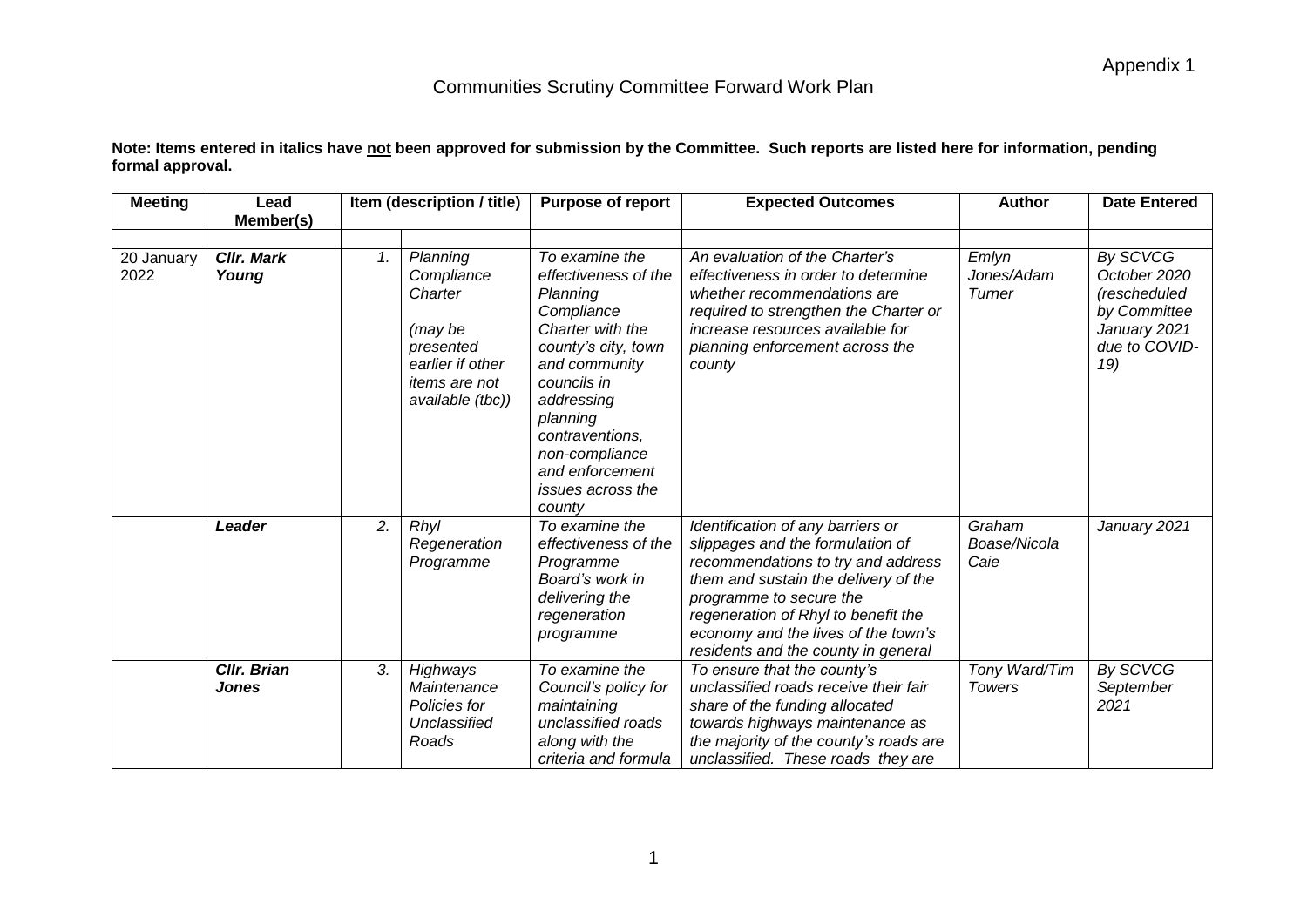| <b>Meeting</b>     | Lead                        |    | Item (description / title)                                                                                                | <b>Purpose of report</b>                                                                                                                                                                                                                                            | <b>Expected Outcomes</b>                                                                                                                                                                                                                                                                            | <b>Author</b>                  | <b>Date Entered</b>                                                                              |
|--------------------|-----------------------------|----|---------------------------------------------------------------------------------------------------------------------------|---------------------------------------------------------------------------------------------------------------------------------------------------------------------------------------------------------------------------------------------------------------------|-----------------------------------------------------------------------------------------------------------------------------------------------------------------------------------------------------------------------------------------------------------------------------------------------------|--------------------------------|--------------------------------------------------------------------------------------------------|
|                    | Member(s)                   |    |                                                                                                                           |                                                                                                                                                                                                                                                                     |                                                                                                                                                                                                                                                                                                     |                                |                                                                                                  |
| 20 January<br>2022 | <b>Cllr. Mark</b><br>Young  | 1. | Planning<br>Compliance<br>Charter<br>(may be<br>presented<br>earlier if other<br><i>items are not</i><br>available (tbc)) | To examine the<br>effectiveness of the<br>Planning<br>Compliance<br>Charter with the<br>county's city, town<br>and community<br>councils in<br>addressing<br>planning<br>contraventions,<br>non-compliance<br>and enforcement<br><i>issues across the</i><br>county | An evaluation of the Charter's<br>effectiveness in order to determine<br>whether recommendations are<br>required to strengthen the Charter or<br>increase resources available for<br>planning enforcement across the<br>county                                                                      | Emlyn<br>Jones/Adam<br>Turner  | By SCVCG<br>October 2020<br>(rescheduled<br>by Committee<br>January 2021<br>due to COVID-<br>19) |
|                    | Leader                      | 2. | Rhyl<br>Regeneration<br>Programme                                                                                         | To examine the<br>effectiveness of the<br>Programme<br>Board's work in<br>delivering the<br>regeneration<br>programme                                                                                                                                               | Identification of any barriers or<br>slippages and the formulation of<br>recommendations to try and address<br>them and sustain the delivery of the<br>programme to secure the<br>regeneration of Rhyl to benefit the<br>economy and the lives of the town's<br>residents and the county in general | Graham<br>Boase/Nicola<br>Caie | January 2021                                                                                     |
|                    | <b>CIIr. Brian</b><br>Jones | 3. | Highways<br>Maintenance<br>Policies for<br>Unclassified<br>Roads                                                          | To examine the<br>Council's policy for<br>maintaining<br>unclassified roads<br>along with the                                                                                                                                                                       | To ensure that the county's<br>unclassified roads receive their fair<br>share of the funding allocated<br>towards highways maintenance as<br>the majority of the county's roads are                                                                                                                 | Tony Ward/Tim<br><b>Towers</b> | By SCVCG<br>September<br>2021                                                                    |

**Note: Items entered in italics have not been approved for submission by the Committee. Such reports are listed here for information, pending formal approval.**

*unclassified. These roads they are* 

*criteria and formula*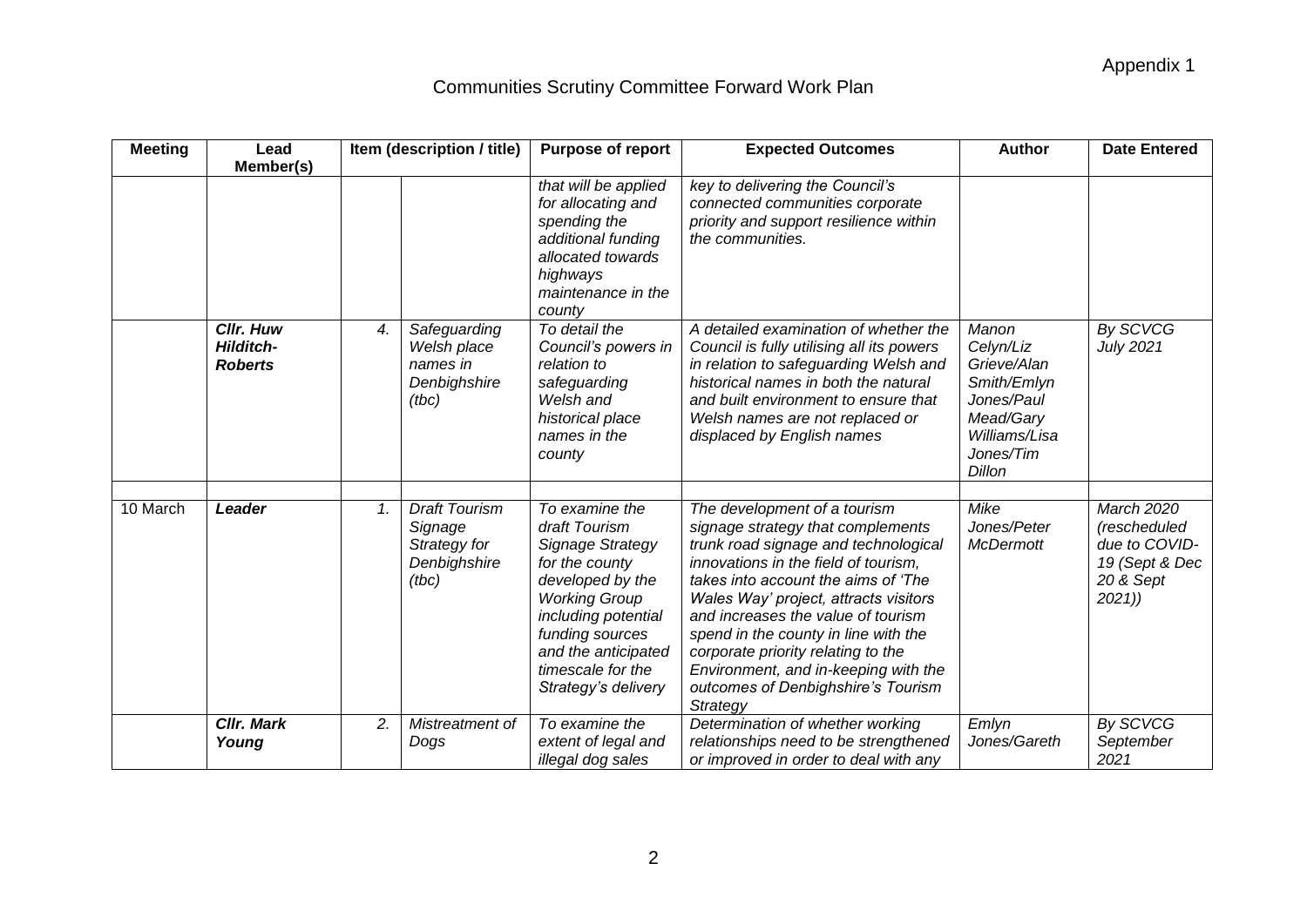| <b>Meeting</b> | Lead                                            |    | Item (description / title)                                               | <b>Purpose of report</b>                                                                                                                                                                                                       | <b>Expected Outcomes</b>                                                                                                                                                                                                                                                                                                                                                                                                                        | <b>Author</b>                                                                                                       | <b>Date Entered</b>                                                                 |
|----------------|-------------------------------------------------|----|--------------------------------------------------------------------------|--------------------------------------------------------------------------------------------------------------------------------------------------------------------------------------------------------------------------------|-------------------------------------------------------------------------------------------------------------------------------------------------------------------------------------------------------------------------------------------------------------------------------------------------------------------------------------------------------------------------------------------------------------------------------------------------|---------------------------------------------------------------------------------------------------------------------|-------------------------------------------------------------------------------------|
|                | Member(s)                                       |    |                                                                          |                                                                                                                                                                                                                                |                                                                                                                                                                                                                                                                                                                                                                                                                                                 |                                                                                                                     |                                                                                     |
|                |                                                 |    |                                                                          | that will be applied<br>for allocating and<br>spending the<br>additional funding<br>allocated towards<br>highways<br>maintenance in the<br>county                                                                              | key to delivering the Council's<br>connected communities corporate<br>priority and support resilience within<br>the communities.                                                                                                                                                                                                                                                                                                                |                                                                                                                     |                                                                                     |
|                | Cllr. Huw<br><b>Hilditch-</b><br><b>Roberts</b> | 4. | Safeguarding<br>Welsh place<br>names in<br>Denbighshire<br>(tbc)         | To detail the<br>Council's powers in<br>relation to<br>safeguarding<br>Welsh and<br>historical place<br>names in the<br>county                                                                                                 | A detailed examination of whether the<br>Council is fully utilising all its powers<br>in relation to safeguarding Welsh and<br>historical names in both the natural<br>and built environment to ensure that<br>Welsh names are not replaced or<br>displaced by English names                                                                                                                                                                    | Manon<br>Celyn/Liz<br>Grieve/Alan<br>Smith/Emlyn<br>Jones/Paul<br>Mead/Gary<br>Williams/Lisa<br>Jones/Tim<br>Dillon | By SCVCG<br>July 2021                                                               |
| 10 March       | Leader                                          | 1. | <b>Draft Tourism</b><br>Signage<br>Strategy for<br>Denbighshire<br>(tbc) | To examine the<br>draft Tourism<br>Signage Strategy<br>for the county<br>developed by the<br><b>Working Group</b><br>including potential<br>funding sources<br>and the anticipated<br>timescale for the<br>Strategy's delivery | The development of a tourism<br>signage strategy that complements<br>trunk road signage and technological<br>innovations in the field of tourism,<br>takes into account the aims of 'The<br>Wales Way' project, attracts visitors<br>and increases the value of tourism<br>spend in the county in line with the<br>corporate priority relating to the<br>Environment, and in-keeping with the<br>outcomes of Denbighshire's Tourism<br>Strategy | Mike<br>Jones/Peter<br><b>McDermott</b>                                                                             | March 2020<br>(rescheduled<br>due to COVID-<br>19 (Sept & Dec<br>20 & Sept<br>2021) |
|                | <b>CIIr. Mark</b><br>Young                      | 2. | Mistreatment of<br>Dogs                                                  | To examine the<br>extent of legal and<br>illegal dog sales                                                                                                                                                                     | Determination of whether working<br>relationships need to be strengthened<br>or improved in order to deal with any                                                                                                                                                                                                                                                                                                                              | Emlyn<br>Jones/Gareth                                                                                               | By SCVCG<br>September<br>2021                                                       |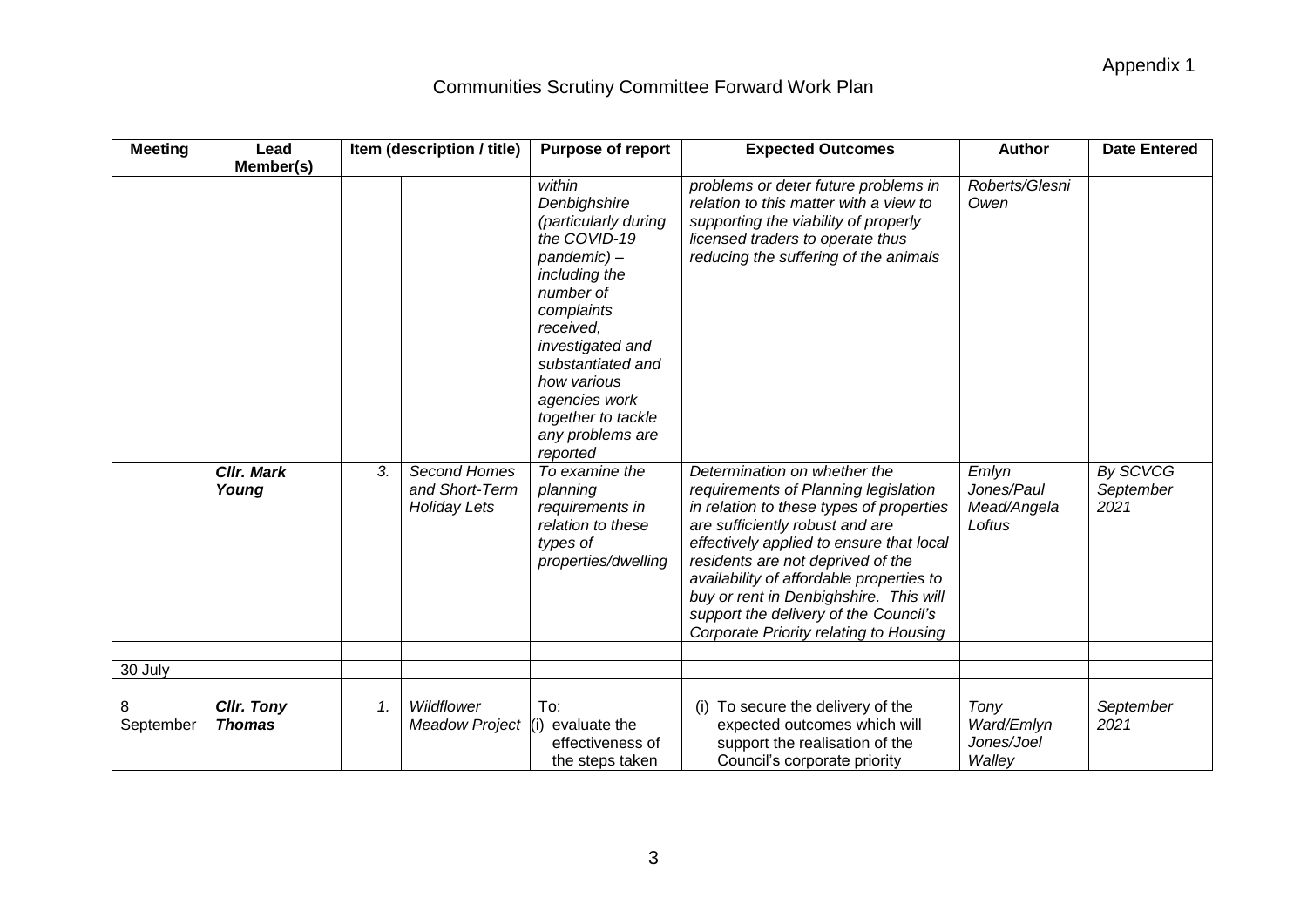| <b>Meeting</b> | Lead                               | Item (description / title)                                  | <b>Purpose of report</b>                                                                                                                                                                                                                                             | <b>Expected Outcomes</b>                                                                                                                                                                                                                                                                                                                                                                                      |                                              | <b>Date Entered</b>           |
|----------------|------------------------------------|-------------------------------------------------------------|----------------------------------------------------------------------------------------------------------------------------------------------------------------------------------------------------------------------------------------------------------------------|---------------------------------------------------------------------------------------------------------------------------------------------------------------------------------------------------------------------------------------------------------------------------------------------------------------------------------------------------------------------------------------------------------------|----------------------------------------------|-------------------------------|
|                | Member(s)                          |                                                             |                                                                                                                                                                                                                                                                      |                                                                                                                                                                                                                                                                                                                                                                                                               |                                              |                               |
|                |                                    |                                                             | within<br>Denbighshire<br>(particularly during<br>the COVID-19<br>pandemic)-<br>including the<br>number of<br>complaints<br>received.<br>investigated and<br>substantiated and<br>how various<br>agencies work<br>together to tackle<br>any problems are<br>reported | problems or deter future problems in<br>relation to this matter with a view to<br>supporting the viability of properly<br>licensed traders to operate thus<br>reducing the suffering of the animals                                                                                                                                                                                                           | Roberts/Glesni<br>Owen                       |                               |
| 30 July        | <b>CIIr. Mark</b><br>Young         | Second Homes<br>3.<br>and Short-Term<br><b>Holiday Lets</b> | To examine the<br>planning<br>requirements in<br>relation to these<br>types of<br>properties/dwelling                                                                                                                                                                | Determination on whether the<br>requirements of Planning legislation<br>in relation to these types of properties<br>are sufficiently robust and are<br>effectively applied to ensure that local<br>residents are not deprived of the<br>availability of affordable properties to<br>buy or rent in Denbighshire. This will<br>support the delivery of the Council's<br>Corporate Priority relating to Housing | Emlyn<br>Jones/Paul<br>Mead/Angela<br>Loftus | By SCVCG<br>September<br>2021 |
|                |                                    |                                                             |                                                                                                                                                                                                                                                                      |                                                                                                                                                                                                                                                                                                                                                                                                               |                                              |                               |
| 8<br>September | <b>CIIr. Tony</b><br><b>Thomas</b> | Wildflower<br>1.<br><b>Meadow Project</b>                   | To:<br>evaluate the<br>l(i)<br>effectiveness of<br>the steps taken                                                                                                                                                                                                   | (i) To secure the delivery of the<br>expected outcomes which will<br>support the realisation of the<br>Council's corporate priority                                                                                                                                                                                                                                                                           | Tony<br>Ward/Emlyn<br>Jones/Joel<br>Walley   | September<br>2021             |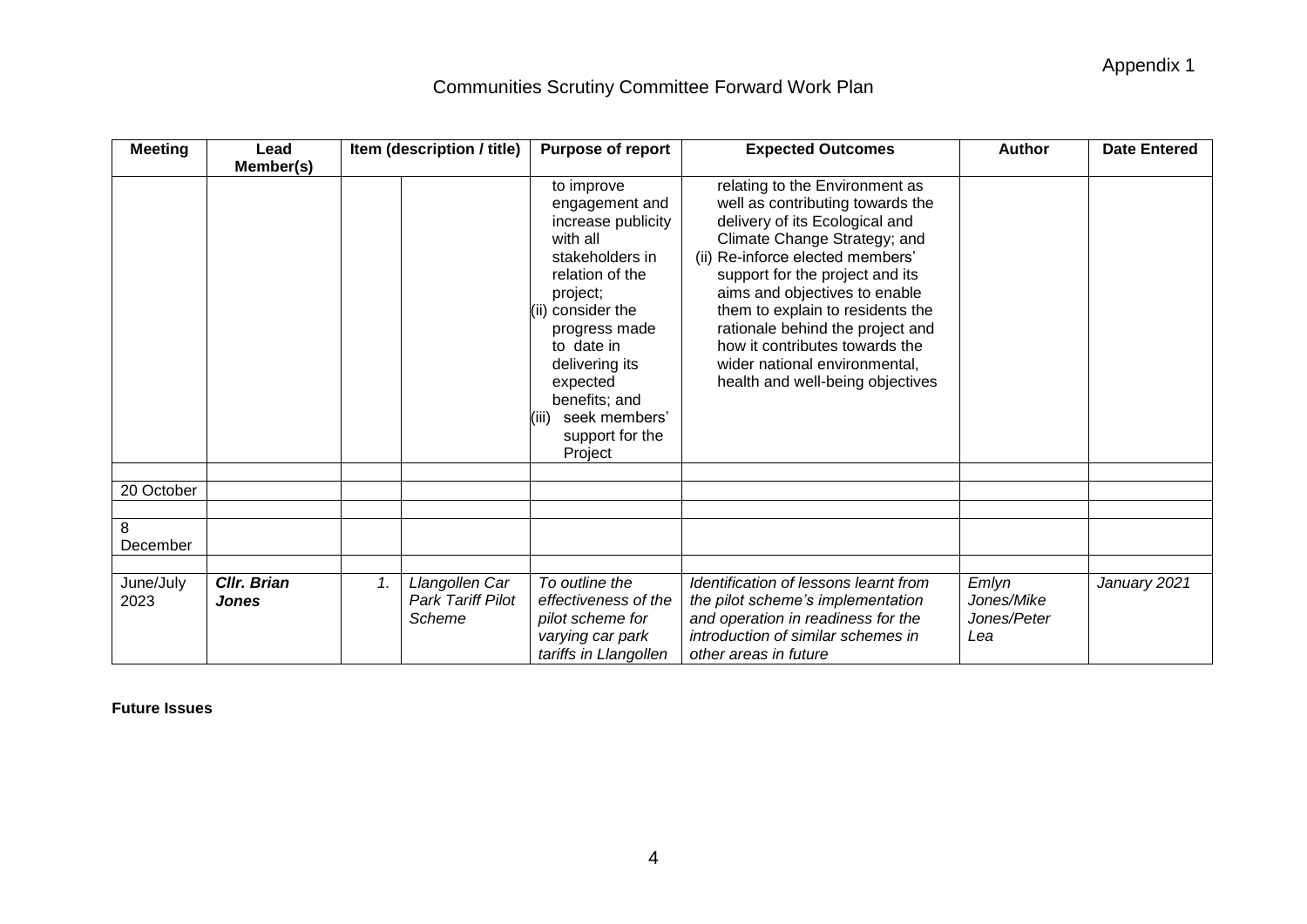Appendix 1

# Communities Scrutiny Committee Forward Work Plan

| <b>Meeting</b>    | Lead                        |    | Item (description / title)                           | <b>Purpose of report</b>                                                                                                                                                                                                                                                    | <b>Expected Outcomes</b>                                                                                                                                                                                                                                                                                                                                                                                                    | <b>Author</b>                             | <b>Date Entered</b> |
|-------------------|-----------------------------|----|------------------------------------------------------|-----------------------------------------------------------------------------------------------------------------------------------------------------------------------------------------------------------------------------------------------------------------------------|-----------------------------------------------------------------------------------------------------------------------------------------------------------------------------------------------------------------------------------------------------------------------------------------------------------------------------------------------------------------------------------------------------------------------------|-------------------------------------------|---------------------|
|                   | Member(s)                   |    |                                                      | to improve<br>engagement and<br>increase publicity<br>with all<br>stakeholders in<br>relation of the<br>project;<br>(ii) consider the<br>progress made<br>to date in<br>delivering its<br>expected<br>benefits; and<br>seek members'<br>(iii)<br>support for the<br>Project | relating to the Environment as<br>well as contributing towards the<br>delivery of its Ecological and<br>Climate Change Strategy; and<br>(ii) Re-inforce elected members'<br>support for the project and its<br>aims and objectives to enable<br>them to explain to residents the<br>rationale behind the project and<br>how it contributes towards the<br>wider national environmental,<br>health and well-being objectives |                                           |                     |
| 20 October        |                             |    |                                                      |                                                                                                                                                                                                                                                                             |                                                                                                                                                                                                                                                                                                                                                                                                                             |                                           |                     |
|                   |                             |    |                                                      |                                                                                                                                                                                                                                                                             |                                                                                                                                                                                                                                                                                                                                                                                                                             |                                           |                     |
| 8<br>December     |                             |    |                                                      |                                                                                                                                                                                                                                                                             |                                                                                                                                                                                                                                                                                                                                                                                                                             |                                           |                     |
|                   |                             |    |                                                      |                                                                                                                                                                                                                                                                             |                                                                                                                                                                                                                                                                                                                                                                                                                             |                                           |                     |
| June/July<br>2023 | Cllr. Brian<br><b>Jones</b> | 1. | Llangollen Car<br><b>Park Tariff Pilot</b><br>Scheme | To outline the<br>effectiveness of the<br>pilot scheme for<br>varying car park<br>tariffs in Llangollen                                                                                                                                                                     | Identification of lessons learnt from<br>the pilot scheme's implementation<br>and operation in readiness for the<br>introduction of similar schemes in<br>other areas in future                                                                                                                                                                                                                                             | Emlyn<br>Jones/Mike<br>Jones/Peter<br>Lea | January 2021        |

**Future Issues**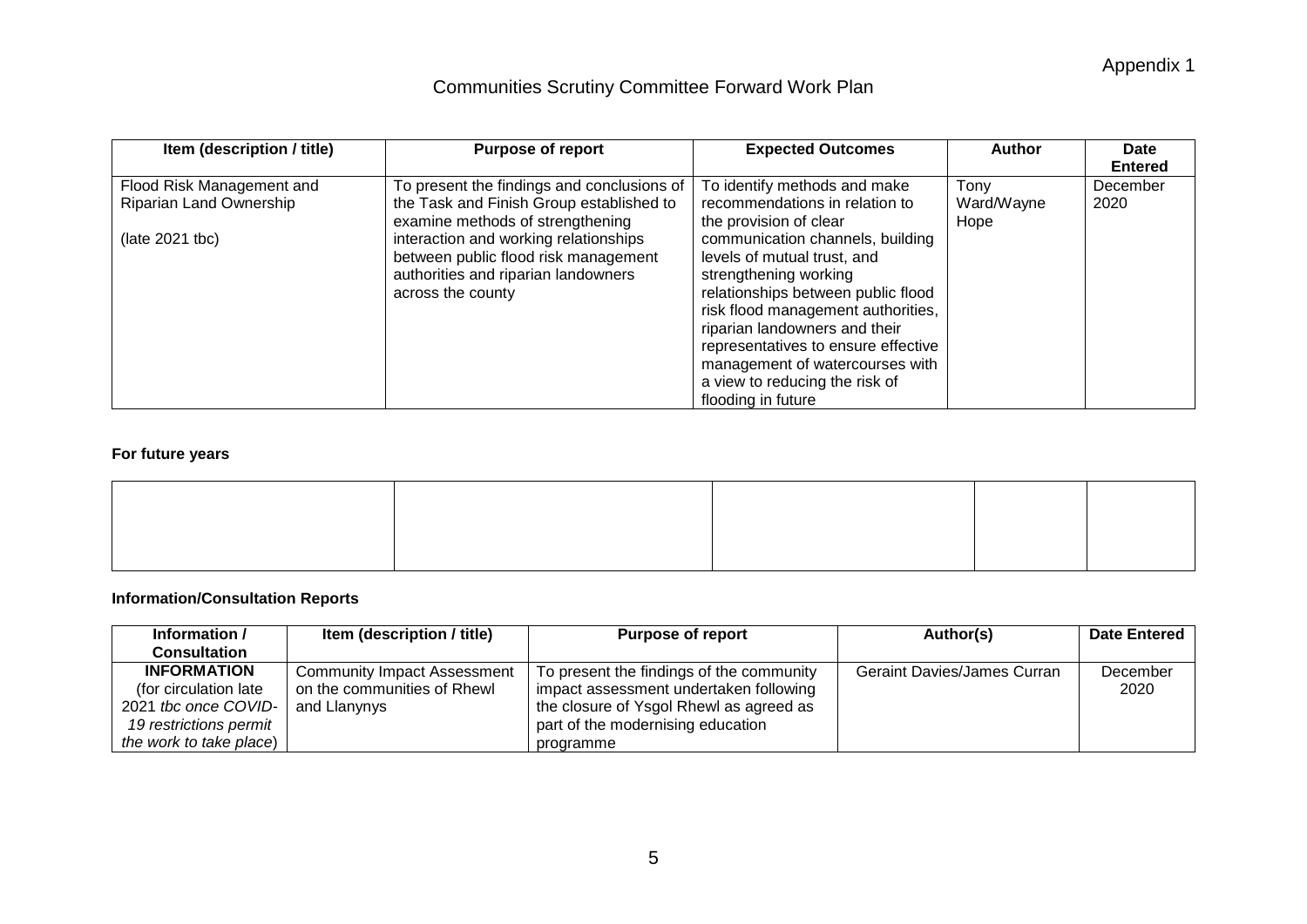Appendix 1

## Communities Scrutiny Committee Forward Work Plan

| Item (description / title)<br><b>Purpose of report</b> |                                            | <b>Expected Outcomes</b>            | <b>Author</b> | Date           |
|--------------------------------------------------------|--------------------------------------------|-------------------------------------|---------------|----------------|
|                                                        |                                            |                                     |               | <b>Entered</b> |
| Flood Risk Management and                              | To present the findings and conclusions of | To identify methods and make        | Tony          | December       |
| Riparian Land Ownership                                | the Task and Finish Group established to   | recommendations in relation to      | Ward/Wayne    | 2020           |
|                                                        | examine methods of strengthening           | the provision of clear              | Hope          |                |
| $ (late 2021 tbc)$                                     | interaction and working relationships      | communication channels, building    |               |                |
|                                                        | between public flood risk management       | levels of mutual trust, and         |               |                |
|                                                        | authorities and riparian landowners        | strengthening working               |               |                |
|                                                        | across the county                          | relationships between public flood  |               |                |
|                                                        |                                            | risk flood management authorities,  |               |                |
|                                                        |                                            | riparian landowners and their       |               |                |
|                                                        |                                            | representatives to ensure effective |               |                |
|                                                        |                                            | management of watercourses with     |               |                |
|                                                        |                                            | a view to reducing the risk of      |               |                |
|                                                        |                                            | flooding in future                  |               |                |

#### **For future years**

#### **Information/Consultation Reports**

| Information /           | Item (description / title)         | <b>Purpose of report</b>                 | Author(s)                          | <b>Date Entered</b> |
|-------------------------|------------------------------------|------------------------------------------|------------------------------------|---------------------|
| <b>Consultation</b>     |                                    |                                          |                                    |                     |
| <b>INFORMATION</b>      | <b>Community Impact Assessment</b> | To present the findings of the community | <b>Geraint Davies/James Curran</b> | December            |
| (for circulation late)  | on the communities of Rhewl        | impact assessment undertaken following   |                                    | 2020                |
| 2021 the once COVID-    | and Llanynys                       | the closure of Ysgol Rhewl as agreed as  |                                    |                     |
| 19 restrictions permit  |                                    | part of the modernising education        |                                    |                     |
| the work to take place) |                                    | programme                                |                                    |                     |